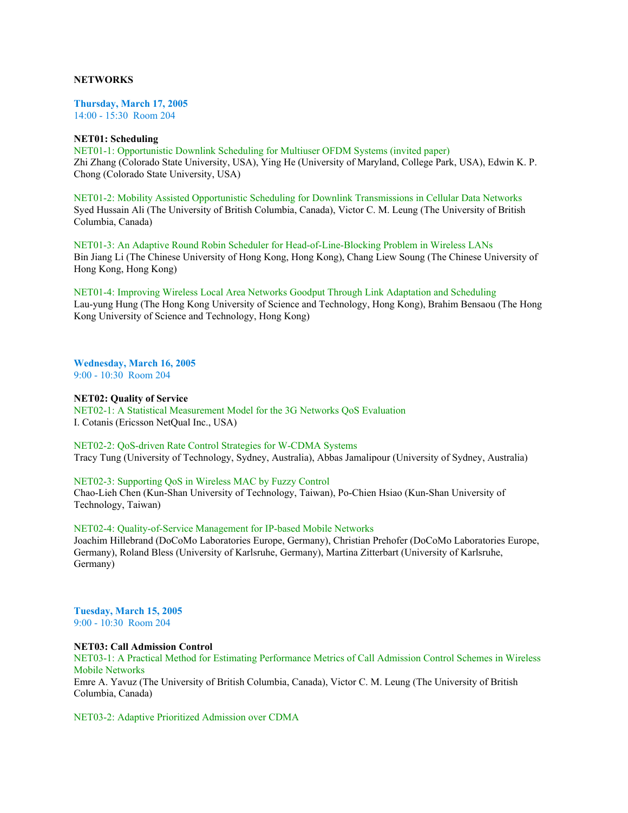# **NETWORKS**

**Thursday, March 17, 2005**

14:00 - 15:30 Room 204

### **NET01: Scheduling**

NET01-1: Opportunistic Downlink Scheduling for Multiuser OFDM Systems (invited paper) Zhi Zhang (Colorado State University, USA), Ying He (University of Maryland, College Park, USA), Edwin K. P. Chong (Colorado State University, USA)

NET01-2: Mobility Assisted Opportunistic Scheduling for Downlink Transmissions in Cellular Data Networks Syed Hussain Ali (The University of British Columbia, Canada), Victor C. M. Leung (The University of British Columbia, Canada)

NET01-3: An Adaptive Round Robin Scheduler for Head-of-Line-Blocking Problem in Wireless LANs Bin Jiang Li (The Chinese University of Hong Kong, Hong Kong), Chang Liew Soung (The Chinese University of Hong Kong, Hong Kong)

NET01-4: Improving Wireless Local Area Networks Goodput Through Link Adaptation and Scheduling Lau-yung Hung (The Hong Kong University of Science and Technology, Hong Kong), Brahim Bensaou (The Hong Kong University of Science and Technology, Hong Kong)

**Wednesday, March 16, 2005** 9:00 - 10:30 Room 204

### **NET02: Quality of Service**

NET02-1: A Statistical Measurement Model for the 3G Networks QoS Evaluation I. Cotanis (Ericsson NetQual Inc., USA)

NET02-2: QoS-driven Rate Control Strategies for W-CDMA Systems Tracy Tung (University of Technology, Sydney, Australia), Abbas Jamalipour (University of Sydney, Australia)

NET02-3: Supporting QoS in Wireless MAC by Fuzzy Control Chao-Lieh Chen (Kun-Shan University of Technology, Taiwan), Po-Chien Hsiao (Kun-Shan University of Technology, Taiwan)

NET02-4: Quality-of-Service Management for IP-based Mobile Networks Joachim Hillebrand (DoCoMo Laboratories Europe, Germany), Christian Prehofer (DoCoMo Laboratories Europe, Germany), Roland Bless (University of Karlsruhe, Germany), Martina Zitterbart (University of Karlsruhe, Germany)

**Tuesday, March 15, 2005** 9:00 - 10:30 Room 204

### **NET03: Call Admission Control**

NET03-1: A Practical Method for Estimating Performance Metrics of Call Admission Control Schemes in Wireless Mobile Networks

Emre A. Yavuz (The University of British Columbia, Canada), Victor C. M. Leung (The University of British Columbia, Canada)

NET03-2: Adaptive Prioritized Admission over CDMA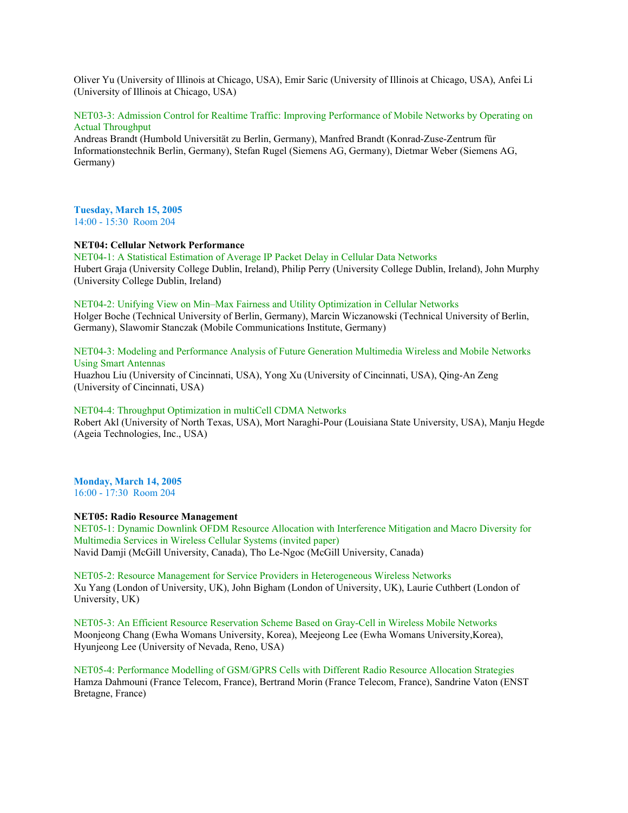Oliver Yu (University of Illinois at Chicago, USA), Emir Saric (University of Illinois at Chicago, USA), Anfei Li (University of Illinois at Chicago, USA)

NET03-3: Admission Control for Realtime Traffic: Improving Performance of Mobile Networks by Operating on Actual Throughput

Andreas Brandt (Humbold Universität zu Berlin, Germany), Manfred Brandt (Konrad-Zuse-Zentrum für Informationstechnik Berlin, Germany), Stefan Rugel (Siemens AG, Germany), Dietmar Weber (Siemens AG, Germany)

### **Tuesday, March 15, 2005** 14:00 - 15:30 Room 204

### **NET04: Cellular Network Performance**

NET04-1: A Statistical Estimation of Average IP Packet Delay in Cellular Data Networks Hubert Graja (University College Dublin, Ireland), Philip Perry (University College Dublin, Ireland), John Murphy (University College Dublin, Ireland)

# NET04-2: Unifying View on Min–Max Fairness and Utility Optimization in Cellular Networks

Holger Boche (Technical University of Berlin, Germany), Marcin Wiczanowski (Technical University of Berlin, Germany), Slawomir Stanczak (Mobile Communications Institute, Germany)

# NET04-3: Modeling and Performance Analysis of Future Generation Multimedia Wireless and Mobile Networks Using Smart Antennas

Huazhou Liu (University of Cincinnati, USA), Yong Xu (University of Cincinnati, USA), Qing-An Zeng (University of Cincinnati, USA)

### NET04-4: Throughput Optimization in multiCell CDMA Networks

Robert Akl (University of North Texas, USA), Mort Naraghi-Pour (Louisiana State University, USA), Manju Hegde (Ageia Technologies, Inc., USA)

# **Monday, March 14, 2005**

16:00 - 17:30 Room 204

# **NET05: Radio Resource Management**

NET05-1: Dynamic Downlink OFDM Resource Allocation with Interference Mitigation and Macro Diversity for Multimedia Services in Wireless Cellular Systems (invited paper) Navid Damji (McGill University, Canada), Tho Le-Ngoc (McGill University, Canada)

NET05-2: Resource Management for Service Providers in Heterogeneous Wireless Networks Xu Yang (London of University, UK), John Bigham (London of University, UK), Laurie Cuthbert (London of University, UK)

NET05-3: An Efficient Resource Reservation Scheme Based on Gray-Cell in Wireless Mobile Networks Moonjeong Chang (Ewha Womans University, Korea), Meejeong Lee (Ewha Womans University,Korea), Hyunjeong Lee (University of Nevada, Reno, USA)

NET05-4: Performance Modelling of GSM/GPRS Cells with Different Radio Resource Allocation Strategies Hamza Dahmouni (France Telecom, France), Bertrand Morin (France Telecom, France), Sandrine Vaton (ENST Bretagne, France)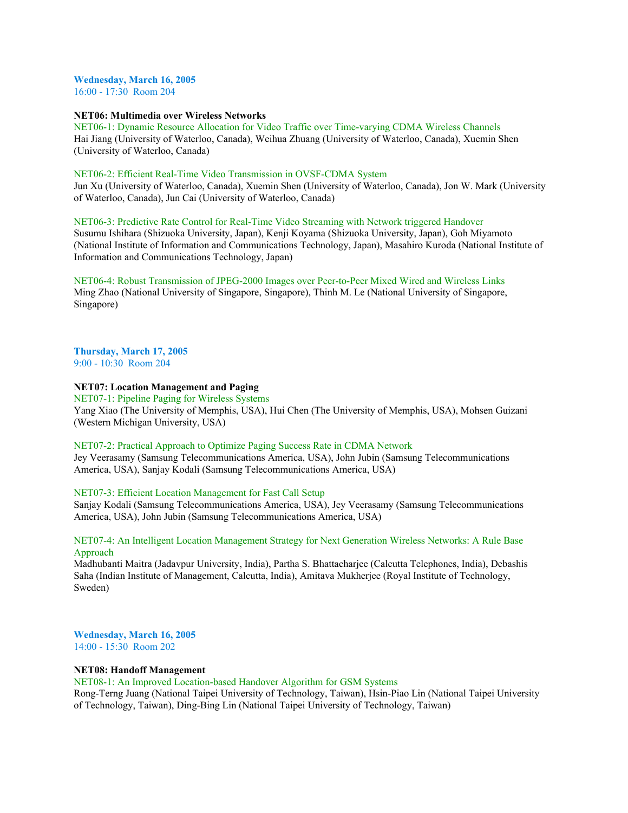# **Wednesday, March 16, 2005**

16:00 - 17:30 Room 204

# **NET06: Multimedia over Wireless Networks**

NET06-1: Dynamic Resource Allocation for Video Traffic over Time-varying CDMA Wireless Channels Hai Jiang (University of Waterloo, Canada), Weihua Zhuang (University of Waterloo, Canada), Xuemin Shen (University of Waterloo, Canada)

# NET06-2: Efficient Real-Time Video Transmission in OVSF-CDMA System

Jun Xu (University of Waterloo, Canada), Xuemin Shen (University of Waterloo, Canada), Jon W. Mark (University of Waterloo, Canada), Jun Cai (University of Waterloo, Canada)

### NET06-3: Predictive Rate Control for Real-Time Video Streaming with Network triggered Handover

Susumu Ishihara (Shizuoka University, Japan), Kenji Koyama (Shizuoka University, Japan), Goh Miyamoto (National Institute of Information and Communications Technology, Japan), Masahiro Kuroda (National Institute of Information and Communications Technology, Japan)

NET06-4: Robust Transmission of JPEG-2000 Images over Peer-to-Peer Mixed Wired and Wireless Links Ming Zhao (National University of Singapore, Singapore), Thinh M. Le (National University of Singapore, Singapore)

#### **Thursday, March 17, 2005** 9:00 - 10:30 Room 204

# **NET07: Location Management and Paging**

NET07-1: Pipeline Paging for Wireless Systems Yang Xiao (The University of Memphis, USA), Hui Chen (The University of Memphis, USA), Mohsen Guizani (Western Michigan University, USA)

### NET07-2: Practical Approach to Optimize Paging Success Rate in CDMA Network

Jey Veerasamy (Samsung Telecommunications America, USA), John Jubin (Samsung Telecommunications America, USA), Sanjay Kodali (Samsung Telecommunications America, USA)

#### NET07-3: Efficient Location Management for Fast Call Setup

Sanjay Kodali (Samsung Telecommunications America, USA), Jey Veerasamy (Samsung Telecommunications America, USA), John Jubin (Samsung Telecommunications America, USA)

# NET07-4: An Intelligent Location Management Strategy for Next Generation Wireless Networks: A Rule Base Approach

Madhubanti Maitra (Jadavpur University, India), Partha S. Bhattacharjee (Calcutta Telephones, India), Debashis Saha (Indian Institute of Management, Calcutta, India), Amitava Mukherjee (Royal Institute of Technology, Sweden)

**Wednesday, March 16, 2005** 14:00 - 15:30 Room 202

# **NET08: Handoff Management**

NET08-1: An Improved Location-based Handover Algorithm for GSM Systems

Rong-Terng Juang (National Taipei University of Technology, Taiwan), Hsin-Piao Lin (National Taipei University of Technology, Taiwan), Ding-Bing Lin (National Taipei University of Technology, Taiwan)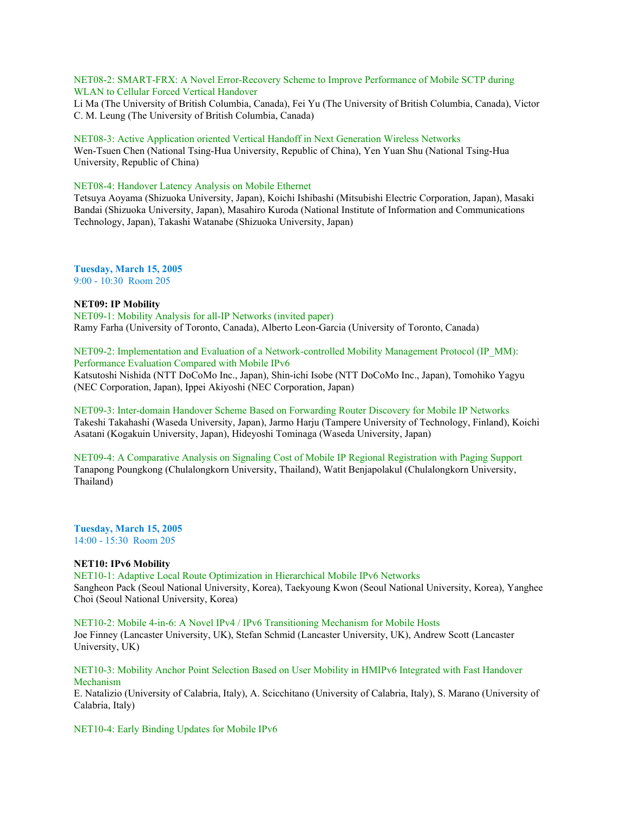NET08-2: SMART-FRX: A Novel Error-Recovery Scheme to Improve Performance of Mobile SCTP during WLAN to Cellular Forced Vertical Handover

Li Ma (The University of British Columbia, Canada), Fei Yu (The University of British Columbia, Canada), Victor C. M. Leung (The University of British Columbia, Canada)

### NET08-3: Active Application oriented Vertical Handoff in Next Generation Wireless Networks

Wen-Tsuen Chen (National Tsing-Hua University, Republic of China), Yen Yuan Shu (National Tsing-Hua University, Republic of China)

### NET08-4: Handover Latency Analysis on Mobile Ethernet

Tetsuya Aoyama (Shizuoka University, Japan), Koichi Ishibashi (Mitsubishi Electric Corporation, Japan), Masaki Bandai (Shizuoka University, Japan), Masahiro Kuroda (National Institute of Information and Communications Technology, Japan), Takashi Watanabe (Shizuoka University, Japan)

**Tuesday, March 15, 2005** 9:00 - 10:30 Room 205

# **NET09: IP Mobility**

NET09-1: Mobility Analysis for all-IP Networks (invited paper) Ramy Farha (University of Toronto, Canada), Alberto Leon-Garcia (University of Toronto, Canada)

NET09-2: Implementation and Evaluation of a Network-controlled Mobility Management Protocol (IP\_MM): Performance Evaluation Compared with Mobile IPv6 Katsutoshi Nishida (NTT DoCoMo Inc., Japan), Shin-ichi Isobe (NTT DoCoMo Inc., Japan), Tomohiko Yagyu (NEC Corporation, Japan), Ippei Akiyoshi (NEC Corporation, Japan)

NET09-3: Inter-domain Handover Scheme Based on Forwarding Router Discovery for Mobile IP Networks Takeshi Takahashi (Waseda University, Japan), Jarmo Harju (Tampere University of Technology, Finland), Koichi Asatani (Kogakuin University, Japan), Hideyoshi Tominaga (Waseda University, Japan)

NET09-4: A Comparative Analysis on Signaling Cost of Mobile IP Regional Registration with Paging Support Tanapong Poungkong (Chulalongkorn University, Thailand), Watit Benjapolakul (Chulalongkorn University, Thailand)

**Tuesday, March 15, 2005** 14:00 - 15:30 Room 205

# **NET10: IPv6 Mobility**

NET10-1: Adaptive Local Route Optimization in Hierarchical Mobile IPv6 Networks Sangheon Pack (Seoul National University, Korea), Taekyoung Kwon (Seoul National University, Korea), Yanghee Choi (Seoul National University, Korea)

NET10-2: Mobile 4-in-6: A Novel IPv4 / IPv6 Transitioning Mechanism for Mobile Hosts Joe Finney (Lancaster University, UK), Stefan Schmid (Lancaster University, UK), Andrew Scott (Lancaster University, UK)

# NET10-3: Mobility Anchor Point Selection Based on User Mobility in HMIPv6 Integrated with Fast Handover Mechanism

E. Natalizio (University of Calabria, Italy), A. Scicchitano (University of Calabria, Italy), S. Marano (University of Calabria, Italy)

NET10-4: Early Binding Updates for Mobile IPv6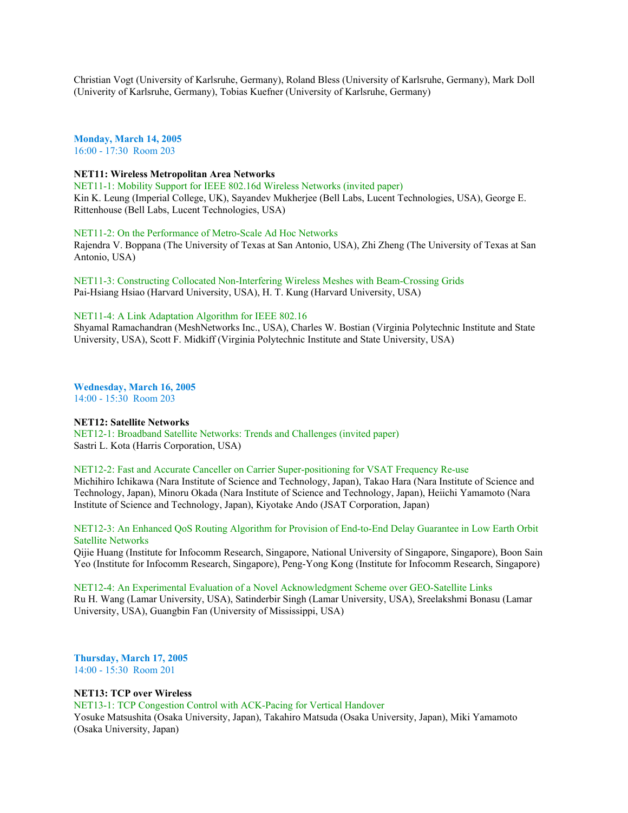Christian Vogt (University of Karlsruhe, Germany), Roland Bless (University of Karlsruhe, Germany), Mark Doll (Univerity of Karlsruhe, Germany), Tobias Kuefner (University of Karlsruhe, Germany)

**Monday, March 14, 2005** 16:00 - 17:30 Room 203

### **NET11: Wireless Metropolitan Area Networks**

NET11-1: Mobility Support for IEEE 802.16d Wireless Networks (invited paper) Kin K. Leung (Imperial College, UK), Sayandev Mukherjee (Bell Labs, Lucent Technologies, USA), George E. Rittenhouse (Bell Labs, Lucent Technologies, USA)

NET11-2: On the Performance of Metro-Scale Ad Hoc Networks

Rajendra V. Boppana (The University of Texas at San Antonio, USA), Zhi Zheng (The University of Texas at San Antonio, USA)

NET11-3: Constructing Collocated Non-Interfering Wireless Meshes with Beam-Crossing Grids Pai-Hsiang Hsiao (Harvard University, USA), H. T. Kung (Harvard University, USA)

## NET11-4: A Link Adaptation Algorithm for IEEE 802.16

Shyamal Ramachandran (MeshNetworks Inc., USA), Charles W. Bostian (Virginia Polytechnic Institute and State University, USA), Scott F. Midkiff (Virginia Polytechnic Institute and State University, USA)

**Wednesday, March 16, 2005** 14:00 - 15:30 Room 203

#### **NET12: Satellite Networks**

NET12-1: Broadband Satellite Networks: Trends and Challenges (invited paper) Sastri L. Kota (Harris Corporation, USA)

NET12-2: Fast and Accurate Canceller on Carrier Super-positioning for VSAT Frequency Re-use

Michihiro Ichikawa (Nara Institute of Science and Technology, Japan), Takao Hara (Nara Institute of Science and Technology, Japan), Minoru Okada (Nara Institute of Science and Technology, Japan), Heiichi Yamamoto (Nara Institute of Science and Technology, Japan), Kiyotake Ando (JSAT Corporation, Japan)

NET12-3: An Enhanced QoS Routing Algorithm for Provision of End-to-End Delay Guarantee in Low Earth Orbit Satellite Networks

Qijie Huang (Institute for Infocomm Research, Singapore, National University of Singapore, Singapore), Boon Sain Yeo (Institute for Infocomm Research, Singapore), Peng-Yong Kong (Institute for Infocomm Research, Singapore)

NET12-4: An Experimental Evaluation of a Novel Acknowledgment Scheme over GEO-Satellite Links Ru H. Wang (Lamar University, USA), Satinderbir Singh (Lamar University, USA), Sreelakshmi Bonasu (Lamar University, USA), Guangbin Fan (University of Mississippi, USA)

**Thursday, March 17, 2005** 14:00 - 15:30 Room 201

#### **NET13: TCP over Wireless**

NET13-1: TCP Congestion Control with ACK-Pacing for Vertical Handover Yosuke Matsushita (Osaka University, Japan), Takahiro Matsuda (Osaka University, Japan), Miki Yamamoto (Osaka University, Japan)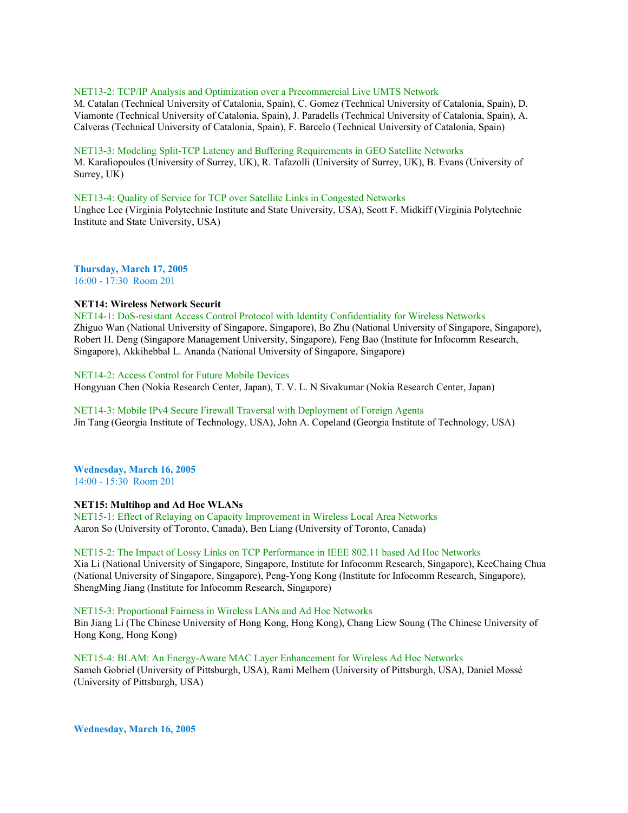#### NET13-2: TCP/IP Analysis and Optimization over a Precommercial Live UMTS Network

M. Catalan (Technical University of Catalonia, Spain), C. Gomez (Technical University of Catalonia, Spain), D. Viamonte (Technical University of Catalonia, Spain), J. Paradells (Technical University of Catalonia, Spain), A. Calveras (Technical University of Catalonia, Spain), F. Barcelo (Technical University of Catalonia, Spain)

### NET13-3: Modeling Split-TCP Latency and Buffering Requirements in GEO Satellite Networks

M. Karaliopoulos (University of Surrey, UK), R. Tafazolli (University of Surrey, UK), B. Evans (University of Surrey, UK)

### NET13-4: Quality of Service for TCP over Satellite Links in Congested Networks

Unghee Lee (Virginia Polytechnic Institute and State University, USA), Scott F. Midkiff (Virginia Polytechnic Institute and State University, USA)

**Thursday, March 17, 2005** 16:00 - 17:30 Room 201

## **NET14: Wireless Network Securit**

NET14-1: DoS-resistant Access Control Protocol with Identity Confidentiality for Wireless Networks Zhiguo Wan (National University of Singapore, Singapore), Bo Zhu (National University of Singapore, Singapore), Robert H. Deng (Singapore Management University, Singapore), Feng Bao (Institute for Infocomm Research, Singapore), Akkihebbal L. Ananda (National University of Singapore, Singapore)

# NET14-2: Access Control for Future Mobile Devices

Hongyuan Chen (Nokia Research Center, Japan), T. V. L. N Sivakumar (Nokia Research Center, Japan)

### NET14-3: Mobile IPv4 Secure Firewall Traversal with Deployment of Foreign Agents Jin Tang (Georgia Institute of Technology, USA), John A. Copeland (Georgia Institute of Technology, USA)

#### **Wednesday, March 16, 2005** 14:00 - 15:30 Room 201

# **NET15: Multihop and Ad Hoc WLANs**

NET15-1: Effect of Relaying on Capacity Improvement in Wireless Local Area Networks Aaron So (University of Toronto, Canada), Ben Liang (University of Toronto, Canada)

# NET15-2: The Impact of Lossy Links on TCP Performance in IEEE 802.11 based Ad Hoc Networks

Xia Li (National University of Singapore, Singapore, Institute for Infocomm Research, Singapore), KeeChaing Chua (National University of Singapore, Singapore), Peng-Yong Kong (Institute for Infocomm Research, Singapore), ShengMing Jiang (Institute for Infocomm Research, Singapore)

# NET15-3: Proportional Fairness in Wireless LANs and Ad Hoc Networks

Bin Jiang Li (The Chinese University of Hong Kong, Hong Kong), Chang Liew Soung (The Chinese University of Hong Kong, Hong Kong)

NET15-4: BLAM: An Energy-Aware MAC Layer Enhancement for Wireless Ad Hoc Networks Sameh Gobriel (University of Pittsburgh, USA), Rami Melhem (University of Pittsburgh, USA), Daniel Mossé (University of Pittsburgh, USA)

**Wednesday, March 16, 2005**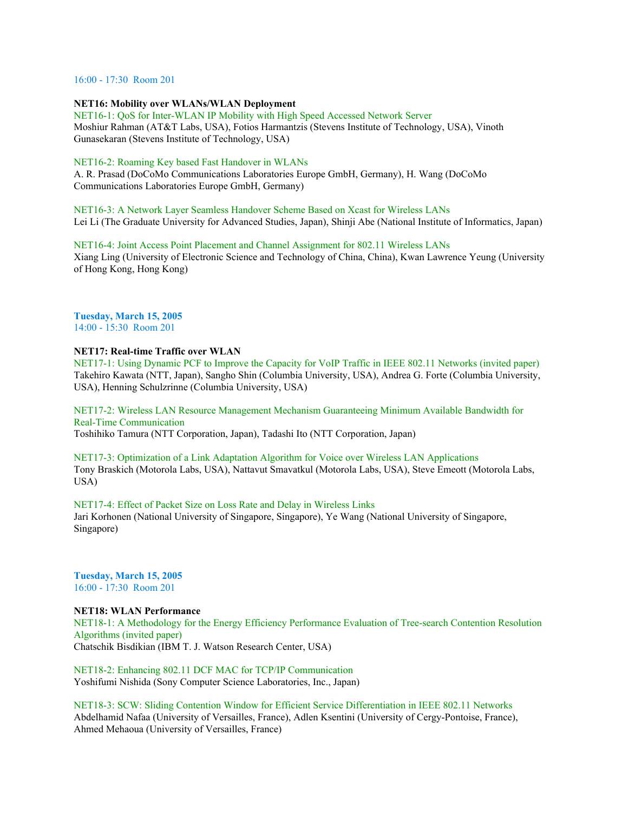16:00 - 17:30 Room 201

### **NET16: Mobility over WLANs/WLAN Deployment**

NET16-1: QoS for Inter-WLAN IP Mobility with High Speed Accessed Network Server Moshiur Rahman (AT&T Labs, USA), Fotios Harmantzis (Stevens Institute of Technology, USA), Vinoth Gunasekaran (Stevens Institute of Technology, USA)

### NET16-2: Roaming Key based Fast Handover in WLANs

A. R. Prasad (DoCoMo Communications Laboratories Europe GmbH, Germany), H. Wang (DoCoMo Communications Laboratories Europe GmbH, Germany)

NET16-3: A Network Layer Seamless Handover Scheme Based on Xcast for Wireless LANs Lei Li (The Graduate University for Advanced Studies, Japan), Shinji Abe (National Institute of Informatics, Japan)

NET16-4: Joint Access Point Placement and Channel Assignment for 802.11 Wireless LANs Xiang Ling (University of Electronic Science and Technology of China, China), Kwan Lawrence Yeung (University of Hong Kong, Hong Kong)

# **Tuesday, March 15, 2005**

14:00 - 15:30 Room 201

# **NET17: Real-time Traffic over WLAN**

NET17-1: Using Dynamic PCF to Improve the Capacity for VoIP Traffic in IEEE 802.11 Networks (invited paper) Takehiro Kawata (NTT, Japan), Sangho Shin (Columbia University, USA), Andrea G. Forte (Columbia University, USA), Henning Schulzrinne (Columbia University, USA)

NET17-2: Wireless LAN Resource Management Mechanism Guaranteeing Minimum Available Bandwidth for Real-Time Communication Toshihiko Tamura (NTT Corporation, Japan), Tadashi Ito (NTT Corporation, Japan)

NET17-3: Optimization of a Link Adaptation Algorithm for Voice over Wireless LAN Applications Tony Braskich (Motorola Labs, USA), Nattavut Smavatkul (Motorola Labs, USA), Steve Emeott (Motorola Labs, USA)

# NET17-4: Effect of Packet Size on Loss Rate and Delay in Wireless Links

Jari Korhonen (National University of Singapore, Singapore), Ye Wang (National University of Singapore, Singapore)

**Tuesday, March 15, 2005** 16:00 - 17:30 Room 201

# **NET18: WLAN Performance**

NET18-1: A Methodology for the Energy Efficiency Performance Evaluation of Tree-search Contention Resolution Algorithms (invited paper) Chatschik Bisdikian (IBM T. J. Watson Research Center, USA)

NET18-2: Enhancing 802.11 DCF MAC for TCP/IP Communication Yoshifumi Nishida (Sony Computer Science Laboratories, Inc., Japan)

NET18-3: SCW: Sliding Contention Window for Efficient Service Differentiation in IEEE 802.11 Networks Abdelhamid Nafaa (University of Versailles, France), Adlen Ksentini (University of Cergy-Pontoise, France), Ahmed Mehaoua (University of Versailles, France)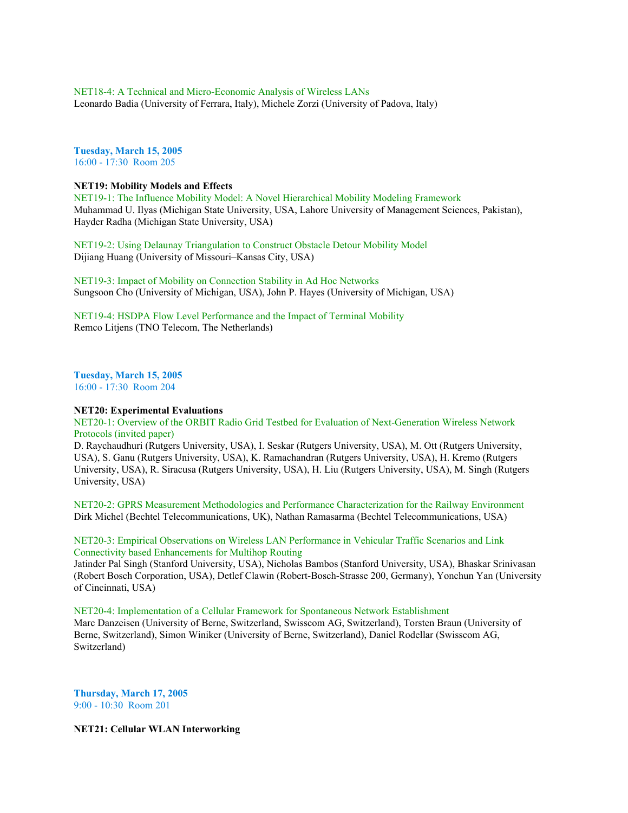NET18-4: A Technical and Micro-Economic Analysis of Wireless LANs Leonardo Badia (University of Ferrara, Italy), Michele Zorzi (University of Padova, Italy)

**Tuesday, March 15, 2005** 16:00 - 17:30 Room 205

#### **NET19: Mobility Models and Effects**

NET19-1: The Influence Mobility Model: A Novel Hierarchical Mobility Modeling Framework Muhammad U. Ilyas (Michigan State University, USA, Lahore University of Management Sciences, Pakistan), Hayder Radha (Michigan State University, USA)

NET19-2: Using Delaunay Triangulation to Construct Obstacle Detour Mobility Model Dijiang Huang (University of Missouri–Kansas City, USA)

NET19-3: Impact of Mobility on Connection Stability in Ad Hoc Networks Sungsoon Cho (University of Michigan, USA), John P. Hayes (University of Michigan, USA)

NET19-4: HSDPA Flow Level Performance and the Impact of Terminal Mobility Remco Litjens (TNO Telecom, The Netherlands)

**Tuesday, March 15, 2005** 16:00 - 17:30 Room 204

### **NET20: Experimental Evaluations**

NET20-1: Overview of the ORBIT Radio Grid Testbed for Evaluation of Next-Generation Wireless Network Protocols (invited paper)

D. Raychaudhuri (Rutgers University, USA), I. Seskar (Rutgers University, USA), M. Ott (Rutgers University, USA), S. Ganu (Rutgers University, USA), K. Ramachandran (Rutgers University, USA), H. Kremo (Rutgers University, USA), R. Siracusa (Rutgers University, USA), H. Liu (Rutgers University, USA), M. Singh (Rutgers University, USA)

NET20-2: GPRS Measurement Methodologies and Performance Characterization for the Railway Environment Dirk Michel (Bechtel Telecommunications, UK), Nathan Ramasarma (Bechtel Telecommunications, USA)

NET20-3: Empirical Observations on Wireless LAN Performance in Vehicular Traffic Scenarios and Link Connectivity based Enhancements for Multihop Routing

Jatinder Pal Singh (Stanford University, USA), Nicholas Bambos (Stanford University, USA), Bhaskar Srinivasan (Robert Bosch Corporation, USA), Detlef Clawin (Robert-Bosch-Strasse 200, Germany), Yonchun Yan (University of Cincinnati, USA)

NET20-4: Implementation of a Cellular Framework for Spontaneous Network Establishment

Marc Danzeisen (University of Berne, Switzerland, Swisscom AG, Switzerland), Torsten Braun (University of Berne, Switzerland), Simon Winiker (University of Berne, Switzerland), Daniel Rodellar (Swisscom AG, Switzerland)

**Thursday, March 17, 2005** 9:00 - 10:30 Room 201

**NET21: Cellular WLAN Interworking**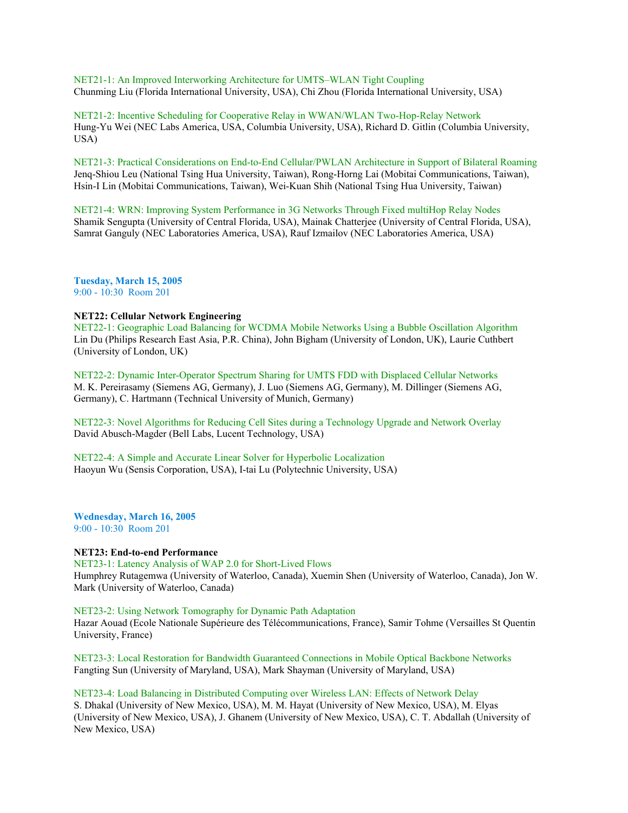NET21-1: An Improved Interworking Architecture for UMTS–WLAN Tight Coupling Chunming Liu (Florida International University, USA), Chi Zhou (Florida International University, USA)

NET21-2: Incentive Scheduling for Cooperative Relay in WWAN/WLAN Two-Hop-Relay Network Hung-Yu Wei (NEC Labs America, USA, Columbia University, USA), Richard D. Gitlin (Columbia University, USA)

NET21-3: Practical Considerations on End-to-End Cellular/PWLAN Architecture in Support of Bilateral Roaming Jenq-Shiou Leu (National Tsing Hua University, Taiwan), Rong-Horng Lai (Mobitai Communications, Taiwan), Hsin-I Lin (Mobitai Communications, Taiwan), Wei-Kuan Shih (National Tsing Hua University, Taiwan)

NET21-4: WRN: Improving System Performance in 3G Networks Through Fixed multiHop Relay Nodes Shamik Sengupta (University of Central Florida, USA), Mainak Chatterjee (University of Central Florida, USA), Samrat Ganguly (NEC Laboratories America, USA), Rauf Izmailov (NEC Laboratories America, USA)

**Tuesday, March 15, 2005** 9:00 - 10:30 Room 201

# **NET22: Cellular Network Engineering**

NET22-1: Geographic Load Balancing for WCDMA Mobile Networks Using a Bubble Oscillation Algorithm Lin Du (Philips Research East Asia, P.R. China), John Bigham (University of London, UK), Laurie Cuthbert (University of London, UK)

NET22-2: Dynamic Inter-Operator Spectrum Sharing for UMTS FDD with Displaced Cellular Networks M. K. Pereirasamy (Siemens AG, Germany), J. Luo (Siemens AG, Germany), M. Dillinger (Siemens AG, Germany), C. Hartmann (Technical University of Munich, Germany)

NET22-3: Novel Algorithms for Reducing Cell Sites during a Technology Upgrade and Network Overlay David Abusch-Magder (Bell Labs, Lucent Technology, USA)

NET22-4: A Simple and Accurate Linear Solver for Hyperbolic Localization Haoyun Wu (Sensis Corporation, USA), I-tai Lu (Polytechnic University, USA)

**Wednesday, March 16, 2005** 9:00 - 10:30 Room 201

### **NET23: End-to-end Performance**

NET23-1: Latency Analysis of WAP 2.0 for Short-Lived Flows

Humphrey Rutagemwa (University of Waterloo, Canada), Xuemin Shen (University of Waterloo, Canada), Jon W. Mark (University of Waterloo, Canada)

NET23-2: Using Network Tomography for Dynamic Path Adaptation

Hazar Aouad (Ecole Nationale Supérieure des Télécommunications, France), Samir Tohme (Versailles St Quentin University, France)

NET23-3: Local Restoration for Bandwidth Guaranteed Connections in Mobile Optical Backbone Networks Fangting Sun (University of Maryland, USA), Mark Shayman (University of Maryland, USA)

NET23-4: Load Balancing in Distributed Computing over Wireless LAN: Effects of Network Delay S. Dhakal (University of New Mexico, USA), M. M. Hayat (University of New Mexico, USA), M. Elyas (University of New Mexico, USA), J. Ghanem (University of New Mexico, USA), C. T. Abdallah (University of New Mexico, USA)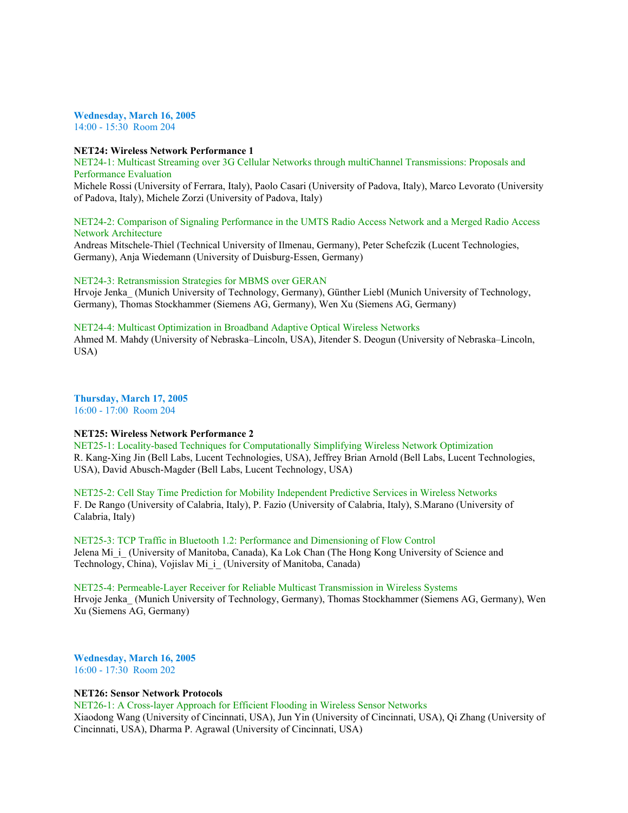#### **Wednesday, March 16, 2005**

14:00 - 15:30 Room 204

### **NET24: Wireless Network Performance 1**

NET24-1: Multicast Streaming over 3G Cellular Networks through multiChannel Transmissions: Proposals and Performance Evaluation

Michele Rossi (University of Ferrara, Italy), Paolo Casari (University of Padova, Italy), Marco Levorato (University of Padova, Italy), Michele Zorzi (University of Padova, Italy)

# NET24-2: Comparison of Signaling Performance in the UMTS Radio Access Network and a Merged Radio Access Network Architecture

Andreas Mitschele-Thiel (Technical University of Ilmenau, Germany), Peter Schefczik (Lucent Technologies, Germany), Anja Wiedemann (University of Duisburg-Essen, Germany)

#### NET24-3: Retransmission Strategies for MBMS over GERAN

Hrvoje Jenka\_ (Munich University of Technology, Germany), Günther Liebl (Munich University of Technology, Germany), Thomas Stockhammer (Siemens AG, Germany), Wen Xu (Siemens AG, Germany)

# NET24-4: Multicast Optimization in Broadband Adaptive Optical Wireless Networks

Ahmed M. Mahdy (University of Nebraska–Lincoln, USA), Jitender S. Deogun (University of Nebraska–Lincoln, USA)

**Thursday, March 17, 2005** 16:00 - 17:00 Room 204

**NET25: Wireless Network Performance 2**

# NET25-1: Locality-based Techniques for Computationally Simplifying Wireless Network Optimization R. Kang-Xing Jin (Bell Labs, Lucent Technologies, USA), Jeffrey Brian Arnold (Bell Labs, Lucent Technologies, USA), David Abusch-Magder (Bell Labs, Lucent Technology, USA)

NET25-2: Cell Stay Time Prediction for Mobility Independent Predictive Services in Wireless Networks F. De Rango (University of Calabria, Italy), P. Fazio (University of Calabria, Italy), S.Marano (University of Calabria, Italy)

NET25-3: TCP Traffic in Bluetooth 1.2: Performance and Dimensioning of Flow Control Jelena Mi<sub>i</sub> (University of Manitoba, Canada), Ka Lok Chan (The Hong Kong University of Science and Technology, China), Vojislav Mi\_i\_ (University of Manitoba, Canada)

# NET25-4: Permeable-Layer Receiver for Reliable Multicast Transmission in Wireless Systems Hrvoje Jenka\_ (Munich University of Technology, Germany), Thomas Stockhammer (Siemens AG, Germany), Wen Xu (Siemens AG, Germany)

**Wednesday, March 16, 2005** 16:00 - 17:30 Room 202

### **NET26: Sensor Network Protocols**

NET26-1: A Cross-layer Approach for Efficient Flooding in Wireless Sensor Networks Xiaodong Wang (University of Cincinnati, USA), Jun Yin (University of Cincinnati, USA), Qi Zhang (University of Cincinnati, USA), Dharma P. Agrawal (University of Cincinnati, USA)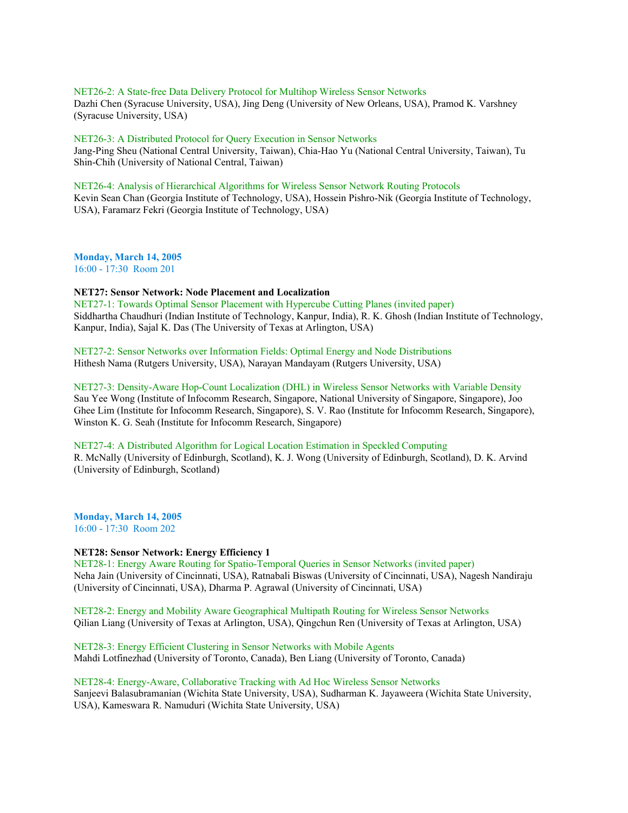NET26-2: A State-free Data Delivery Protocol for Multihop Wireless Sensor Networks Dazhi Chen (Syracuse University, USA), Jing Deng (University of New Orleans, USA), Pramod K. Varshney (Syracuse University, USA)

NET26-3: A Distributed Protocol for Query Execution in Sensor Networks

Jang-Ping Sheu (National Central University, Taiwan), Chia-Hao Yu (National Central University, Taiwan), Tu Shin-Chih (University of National Central, Taiwan)

NET26-4: Analysis of Hierarchical Algorithms for Wireless Sensor Network Routing Protocols Kevin Sean Chan (Georgia Institute of Technology, USA), Hossein Pishro-Nik (Georgia Institute of Technology, USA), Faramarz Fekri (Georgia Institute of Technology, USA)

**Monday, March 14, 2005** 16:00 - 17:30 Room 201

**NET27: Sensor Network: Node Placement and Localization**

NET27-1: Towards Optimal Sensor Placement with Hypercube Cutting Planes (invited paper) Siddhartha Chaudhuri (Indian Institute of Technology, Kanpur, India), R. K. Ghosh (Indian Institute of Technology, Kanpur, India), Sajal K. Das (The University of Texas at Arlington, USA)

NET27-2: Sensor Networks over Information Fields: Optimal Energy and Node Distributions Hithesh Nama (Rutgers University, USA), Narayan Mandayam (Rutgers University, USA)

NET27-3: Density-Aware Hop-Count Localization (DHL) in Wireless Sensor Networks with Variable Density Sau Yee Wong (Institute of Infocomm Research, Singapore, National University of Singapore, Singapore), Joo Ghee Lim (Institute for Infocomm Research, Singapore), S. V. Rao (Institute for Infocomm Research, Singapore), Winston K. G. Seah (Institute for Infocomm Research, Singapore)

NET27-4: A Distributed Algorithm for Logical Location Estimation in Speckled Computing

R. McNally (University of Edinburgh, Scotland), K. J. Wong (University of Edinburgh, Scotland), D. K. Arvind (University of Edinburgh, Scotland)

**Monday, March 14, 2005** 16:00 - 17:30 Room 202

# **NET28: Sensor Network: Energy Efficiency 1**

NET28-1: Energy Aware Routing for Spatio-Temporal Queries in Sensor Networks (invited paper) Neha Jain (University of Cincinnati, USA), Ratnabali Biswas (University of Cincinnati, USA), Nagesh Nandiraju (University of Cincinnati, USA), Dharma P. Agrawal (University of Cincinnati, USA)

NET28-2: Energy and Mobility Aware Geographical Multipath Routing for Wireless Sensor Networks Qilian Liang (University of Texas at Arlington, USA), Qingchun Ren (University of Texas at Arlington, USA)

NET28-3: Energy Efficient Clustering in Sensor Networks with Mobile Agents Mahdi Lotfinezhad (University of Toronto, Canada), Ben Liang (University of Toronto, Canada)

NET28-4: Energy-Aware, Collaborative Tracking with Ad Hoc Wireless Sensor Networks Sanjeevi Balasubramanian (Wichita State University, USA), Sudharman K. Jayaweera (Wichita State University, USA), Kameswara R. Namuduri (Wichita State University, USA)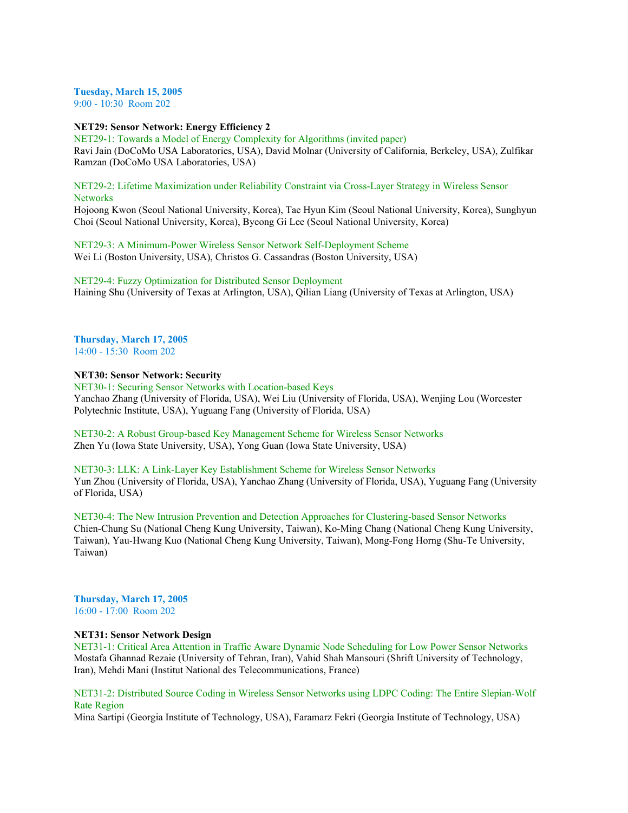**Tuesday, March 15, 2005**

9:00 - 10:30 Room 202

**NET29: Sensor Network: Energy Efficiency 2**

NET29-1: Towards a Model of Energy Complexity for Algorithms (invited paper) Ravi Jain (DoCoMo USA Laboratories, USA), David Molnar (University of California, Berkeley, USA), Zulfikar Ramzan (DoCoMo USA Laboratories, USA)

# NET29-2: Lifetime Maximization under Reliability Constraint via Cross-Layer Strategy in Wireless Sensor **Networks**

Hojoong Kwon (Seoul National University, Korea), Tae Hyun Kim (Seoul National University, Korea), Sunghyun Choi (Seoul National University, Korea), Byeong Gi Lee (Seoul National University, Korea)

NET29-3: A Minimum-Power Wireless Sensor Network Self-Deployment Scheme Wei Li (Boston University, USA), Christos G. Cassandras (Boston University, USA)

NET29-4: Fuzzy Optimization for Distributed Sensor Deployment Haining Shu (University of Texas at Arlington, USA), Qilian Liang (University of Texas at Arlington, USA)

# **Thursday, March 17, 2005** 14:00 - 15:30 Room 202

# **NET30: Sensor Network: Security**

NET30-1: Securing Sensor Networks with Location-based Keys Yanchao Zhang (University of Florida, USA), Wei Liu (University of Florida, USA), Wenjing Lou (Worcester Polytechnic Institute, USA), Yuguang Fang (University of Florida, USA)

NET30-2: A Robust Group-based Key Management Scheme for Wireless Sensor Networks Zhen Yu (Iowa State University, USA), Yong Guan (Iowa State University, USA)

NET30-3: LLK: A Link-Layer Key Establishment Scheme for Wireless Sensor Networks Yun Zhou (University of Florida, USA), Yanchao Zhang (University of Florida, USA), Yuguang Fang (University of Florida, USA)

NET30-4: The New Intrusion Prevention and Detection Approaches for Clustering-based Sensor Networks Chien-Chung Su (National Cheng Kung University, Taiwan), Ko-Ming Chang (National Cheng Kung University, Taiwan), Yau-Hwang Kuo (National Cheng Kung University, Taiwan), Mong-Fong Horng (Shu-Te University, Taiwan)

**Thursday, March 17, 2005** 16:00 - 17:00 Room 202

# **NET31: Sensor Network Design**

NET31-1: Critical Area Attention in Traffic Aware Dynamic Node Scheduling for Low Power Sensor Networks Mostafa Ghannad Rezaie (University of Tehran, Iran), Vahid Shah Mansouri (Shrift University of Technology, Iran), Mehdi Mani (Institut National des Telecommunications, France)

NET31-2: Distributed Source Coding in Wireless Sensor Networks using LDPC Coding: The Entire Slepian-Wolf Rate Region

Mina Sartipi (Georgia Institute of Technology, USA), Faramarz Fekri (Georgia Institute of Technology, USA)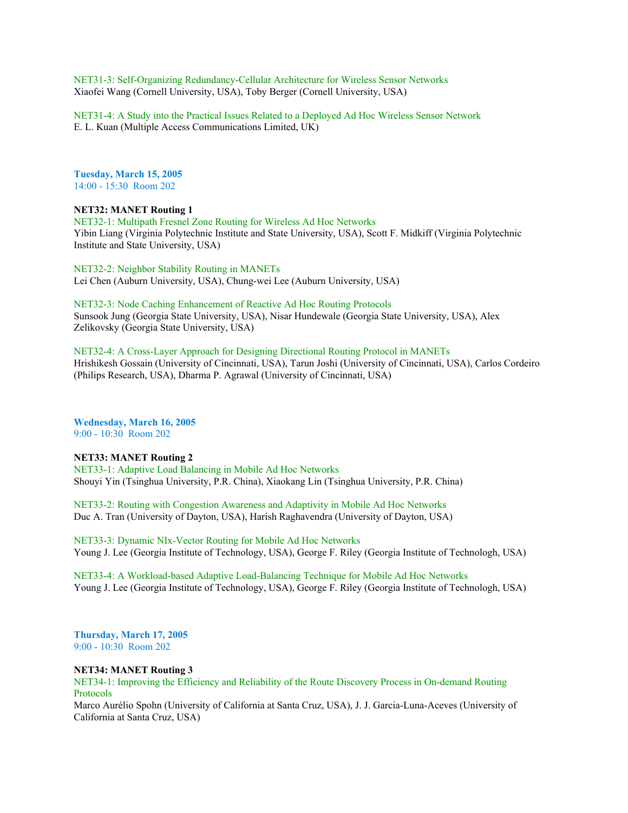NET31-3: Self-Organizing Redundancy-Cellular Architecture for Wireless Sensor Networks Xiaofei Wang (Cornell University, USA), Toby Berger (Cornell University, USA)

NET31-4: A Study into the Practical Issues Related to a Deployed Ad Hoc Wireless Sensor Network E. L. Kuan (Multiple Access Communications Limited, UK)

**Tuesday, March 15, 2005** 14:00 - 15:30 Room 202

# **NET32: MANET Routing 1**

NET32-1: Multipath Fresnel Zone Routing for Wireless Ad Hoc Networks Yibin Liang (Virginia Polytechnic Institute and State University, USA), Scott F. Midkiff (Virginia Polytechnic Institute and State University, USA)

NET32-2: Neighbor Stability Routing in MANETs Lei Chen (Auburn University, USA), Chung-wei Lee (Auburn University, USA)

NET32-3: Node Caching Enhancement of Reactive Ad Hoc Routing Protocols Sunsook Jung (Georgia State University, USA), Nisar Hundewale (Georgia State University, USA), Alex Zelikovsky (Georgia State University, USA)

NET32-4: A Cross-Layer Approach for Designing Directional Routing Protocol in MANETs Hrishikesh Gossain (University of Cincinnati, USA), Tarun Joshi (University of Cincinnati, USA), Carlos Cordeiro (Philips Research, USA), Dharma P. Agrawal (University of Cincinnati, USA)

**Wednesday, March 16, 2005** 9:00 - 10:30 Room 202

# **NET33: MANET Routing 2**

NET33-1: Adaptive Load Balancing in Mobile Ad Hoc Networks Shouyi Yin (Tsinghua University, P.R. China), Xiaokang Lin (Tsinghua University, P.R. China)

NET33-2: Routing with Congestion Awareness and Adaptivity in Mobile Ad Hoc Networks Duc A. Tran (University of Dayton, USA), Harish Raghavendra (University of Dayton, USA)

NET33-3: Dynamic NIx-Vector Routing for Mobile Ad Hoc Networks Young J. Lee (Georgia Institute of Technology, USA), George F. Riley (Georgia Institute of Technologh, USA)

NET33-4: A Workload-based Adaptive Load-Balancing Technique for Mobile Ad Hoc Networks Young J. Lee (Georgia Institute of Technology, USA), George F. Riley (Georgia Institute of Technologh, USA)

**Thursday, March 17, 2005** 9:00 - 10:30 Room 202

### **NET34: MANET Routing 3**

NET34-1: Improving the Efficiency and Reliability of the Route Discovery Process in On-demand Routing Protocols

Marco Aurélio Spohn (University of California at Santa Cruz, USA), J. J. Garcia-Luna-Aceves (University of California at Santa Cruz, USA)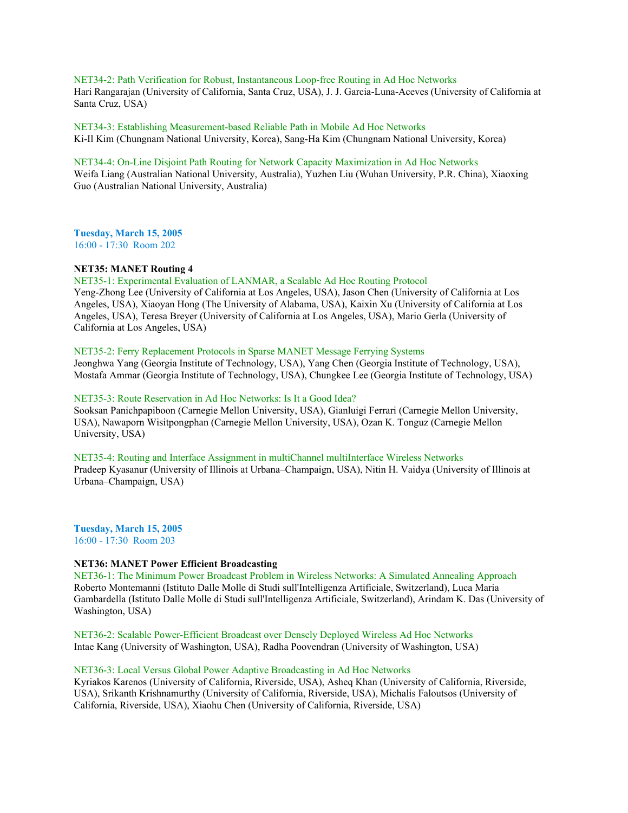NET34-2: Path Verification for Robust, Instantaneous Loop-free Routing in Ad Hoc Networks Hari Rangarajan (University of California, Santa Cruz, USA), J. J. Garcia-Luna-Aceves (University of California at Santa Cruz, USA)

NET34-3: Establishing Measurement-based Reliable Path in Mobile Ad Hoc Networks Ki-Il Kim (Chungnam National University, Korea), Sang-Ha Kim (Chungnam National University, Korea)

#### NET34-4: On-Line Disjoint Path Routing for Network Capacity Maximization in Ad Hoc Networks

Weifa Liang (Australian National University, Australia), Yuzhen Liu (Wuhan University, P.R. China), Xiaoxing Guo (Australian National University, Australia)

**Tuesday, March 15, 2005** 16:00 - 17:30 Room 202

#### **NET35: MANET Routing 4**

NET35-1: Experimental Evaluation of LANMAR, a Scalable Ad Hoc Routing Protocol Yeng-Zhong Lee (University of California at Los Angeles, USA), Jason Chen (University of California at Los

Angeles, USA), Xiaoyan Hong (The University of Alabama, USA), Kaixin Xu (University of California at Los Angeles, USA), Teresa Breyer (University of California at Los Angeles, USA), Mario Gerla (University of California at Los Angeles, USA)

# NET35-2: Ferry Replacement Protocols in Sparse MANET Message Ferrying Systems

Jeonghwa Yang (Georgia Institute of Technology, USA), Yang Chen (Georgia Institute of Technology, USA), Mostafa Ammar (Georgia Institute of Technology, USA), Chungkee Lee (Georgia Institute of Technology, USA)

### NET35-3: Route Reservation in Ad Hoc Networks: Is It a Good Idea?

Sooksan Panichpapiboon (Carnegie Mellon University, USA), Gianluigi Ferrari (Carnegie Mellon University, USA), Nawaporn Wisitpongphan (Carnegie Mellon University, USA), Ozan K. Tonguz (Carnegie Mellon University, USA)

NET35-4: Routing and Interface Assignment in multiChannel multiInterface Wireless Networks Pradeep Kyasanur (University of Illinois at Urbana–Champaign, USA), Nitin H. Vaidya (University of Illinois at Urbana–Champaign, USA)

**Tuesday, March 15, 2005** 16:00 - 17:30 Room 203

# **NET36: MANET Power Efficient Broadcasting**

NET36-1: The Minimum Power Broadcast Problem in Wireless Networks: A Simulated Annealing Approach Roberto Montemanni (Istituto Dalle Molle di Studi sull'Intelligenza Artificiale, Switzerland), Luca Maria Gambardella (Istituto Dalle Molle di Studi sull'Intelligenza Artificiale, Switzerland), Arindam K. Das (University of Washington, USA)

NET36-2: Scalable Power-Efficient Broadcast over Densely Deployed Wireless Ad Hoc Networks Intae Kang (University of Washington, USA), Radha Poovendran (University of Washington, USA)

# NET36-3: Local Versus Global Power Adaptive Broadcasting in Ad Hoc Networks

Kyriakos Karenos (University of California, Riverside, USA), Asheq Khan (University of California, Riverside, USA), Srikanth Krishnamurthy (University of California, Riverside, USA), Michalis Faloutsos (University of California, Riverside, USA), Xiaohu Chen (University of California, Riverside, USA)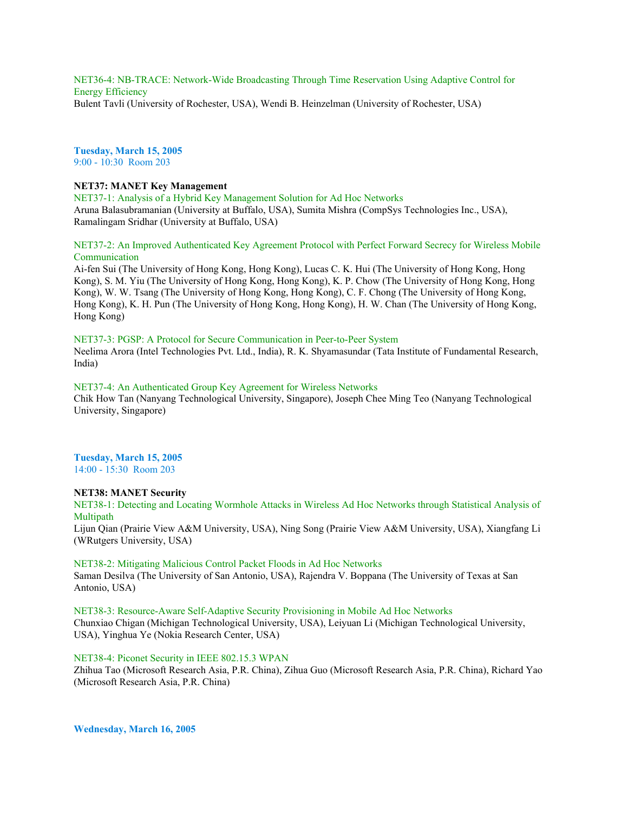NET36-4: NB-TRACE: Network-Wide Broadcasting Through Time Reservation Using Adaptive Control for Energy Efficiency Bulent Tavli (University of Rochester, USA), Wendi B. Heinzelman (University of Rochester, USA)

**Tuesday, March 15, 2005** 9:00 - 10:30 Room 203

# **NET37: MANET Key Management**

NET37-1: Analysis of a Hybrid Key Management Solution for Ad Hoc Networks Aruna Balasubramanian (University at Buffalo, USA), Sumita Mishra (CompSys Technologies Inc., USA), Ramalingam Sridhar (University at Buffalo, USA)

# NET37-2: An Improved Authenticated Key Agreement Protocol with Perfect Forward Secrecy for Wireless Mobile Communication

Ai-fen Sui (The University of Hong Kong, Hong Kong), Lucas C. K. Hui (The University of Hong Kong, Hong Kong), S. M. Yiu (The University of Hong Kong, Hong Kong), K. P. Chow (The University of Hong Kong, Hong Kong), W. W. Tsang (The University of Hong Kong, Hong Kong), C. F. Chong (The University of Hong Kong, Hong Kong), K. H. Pun (The University of Hong Kong, Hong Kong), H. W. Chan (The University of Hong Kong, Hong Kong)

# NET37-3: PGSP: A Protocol for Secure Communication in Peer-to-Peer System

Neelima Arora (Intel Technologies Pvt. Ltd., India), R. K. Shyamasundar (Tata Institute of Fundamental Research, India)

### NET37-4: An Authenticated Group Key Agreement for Wireless Networks

Chik How Tan (Nanyang Technological University, Singapore), Joseph Chee Ming Teo (Nanyang Technological University, Singapore)

### **Tuesday, March 15, 2005** 14:00 - 15:30 Room 203

#### **NET38: MANET Security**

NET38-1: Detecting and Locating Wormhole Attacks in Wireless Ad Hoc Networks through Statistical Analysis of Multipath

Lijun Qian (Prairie View A&M University, USA), Ning Song (Prairie View A&M University, USA), Xiangfang Li (WRutgers University, USA)

## NET38-2: Mitigating Malicious Control Packet Floods in Ad Hoc Networks

Saman Desilva (The University of San Antonio, USA), Rajendra V. Boppana (The University of Texas at San Antonio, USA)

NET38-3: Resource-Aware Self-Adaptive Security Provisioning in Mobile Ad Hoc Networks Chunxiao Chigan (Michigan Technological University, USA), Leiyuan Li (Michigan Technological University, USA), Yinghua Ye (Nokia Research Center, USA)

#### NET38-4: Piconet Security in IEEE 802.15.3 WPAN

Zhihua Tao (Microsoft Research Asia, P.R. China), Zihua Guo (Microsoft Research Asia, P.R. China), Richard Yao (Microsoft Research Asia, P.R. China)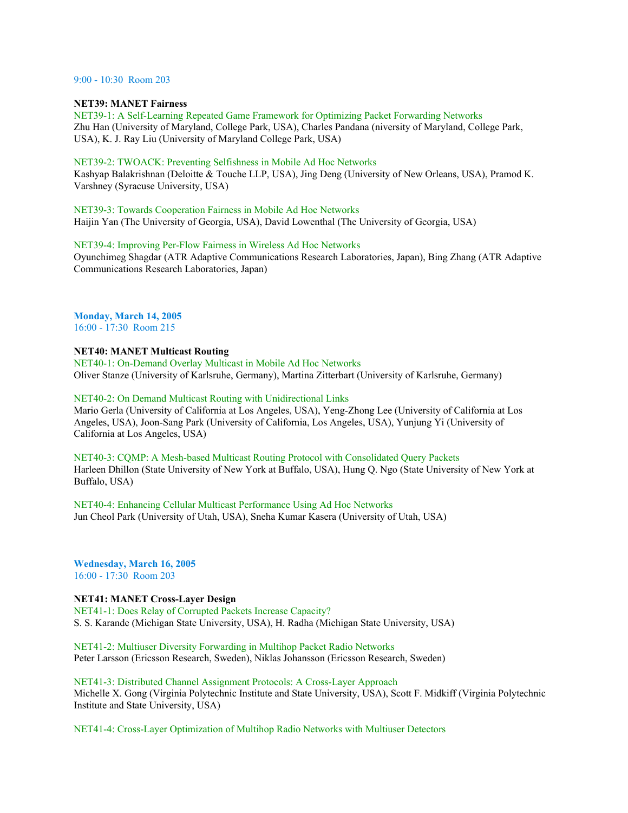# 9:00 - 10:30 Room 203

# **NET39: MANET Fairness**

NET39-1: A Self-Learning Repeated Game Framework for Optimizing Packet Forwarding Networks Zhu Han (University of Maryland, College Park, USA), Charles Pandana (niversity of Maryland, College Park, USA), K. J. Ray Liu (University of Maryland College Park, USA)

### NET39-2: TWOACK: Preventing Selfishness in Mobile Ad Hoc Networks

Kashyap Balakrishnan (Deloitte & Touche LLP, USA), Jing Deng (University of New Orleans, USA), Pramod K. Varshney (Syracuse University, USA)

### NET39-3: Towards Cooperation Fairness in Mobile Ad Hoc Networks

Haijin Yan (The University of Georgia, USA), David Lowenthal (The University of Georgia, USA)

### NET39-4: Improving Per-Flow Fairness in Wireless Ad Hoc Networks

Oyunchimeg Shagdar (ATR Adaptive Communications Research Laboratories, Japan), Bing Zhang (ATR Adaptive Communications Research Laboratories, Japan)

# **Monday, March 14, 2005**

16:00 - 17:30 Room 215

### **NET40: MANET Multicast Routing**

NET40-1: On-Demand Overlay Multicast in Mobile Ad Hoc Networks Oliver Stanze (University of Karlsruhe, Germany), Martina Zitterbart (University of Karlsruhe, Germany)

### NET40-2: On Demand Multicast Routing with Unidirectional Links

Mario Gerla (University of California at Los Angeles, USA), Yeng-Zhong Lee (University of California at Los Angeles, USA), Joon-Sang Park (University of California, Los Angeles, USA), Yunjung Yi (University of California at Los Angeles, USA)

# NET40-3: CQMP: A Mesh-based Multicast Routing Protocol with Consolidated Query Packets Harleen Dhillon (State University of New York at Buffalo, USA), Hung Q. Ngo (State University of New York at Buffalo, USA)

NET40-4: Enhancing Cellular Multicast Performance Using Ad Hoc Networks Jun Cheol Park (University of Utah, USA), Sneha Kumar Kasera (University of Utah, USA)

**Wednesday, March 16, 2005** 16:00 - 17:30 Room 203

# **NET41: MANET Cross-Layer Design**

NET41-1: Does Relay of Corrupted Packets Increase Capacity? S. S. Karande (Michigan State University, USA), H. Radha (Michigan State University, USA)

NET41-2: Multiuser Diversity Forwarding in Multihop Packet Radio Networks Peter Larsson (Ericsson Research, Sweden), Niklas Johansson (Ericsson Research, Sweden)

NET41-3: Distributed Channel Assignment Protocols: A Cross-Layer Approach Michelle X. Gong (Virginia Polytechnic Institute and State University, USA), Scott F. Midkiff (Virginia Polytechnic Institute and State University, USA)

NET41-4: Cross-Layer Optimization of Multihop Radio Networks with Multiuser Detectors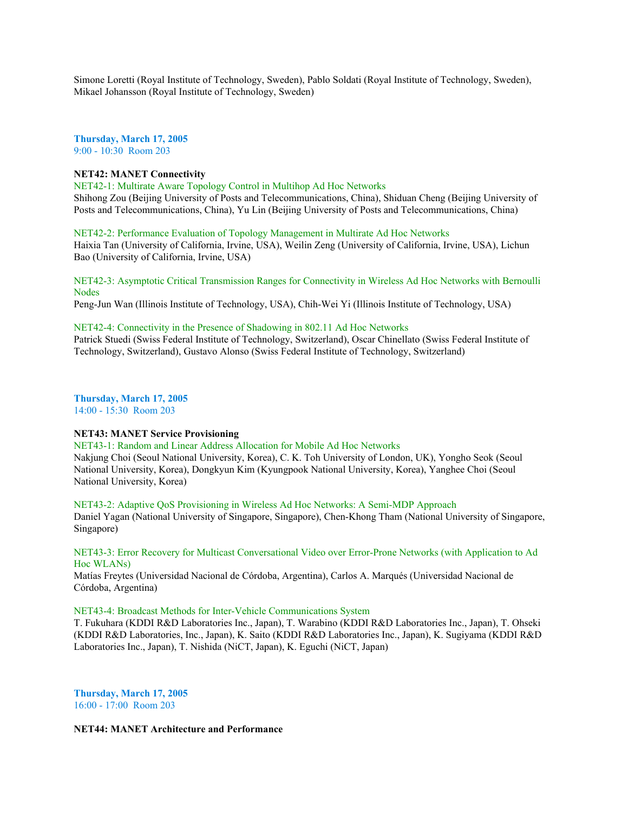Simone Loretti (Royal Institute of Technology, Sweden), Pablo Soldati (Royal Institute of Technology, Sweden), Mikael Johansson (Royal Institute of Technology, Sweden)

**Thursday, March 17, 2005** 9:00 - 10:30 Room 203

# **NET42: MANET Connectivity**

NET42-1: Multirate Aware Topology Control in Multihop Ad Hoc Networks Shihong Zou (Beijing University of Posts and Telecommunications, China), Shiduan Cheng (Beijing University of Posts and Telecommunications, China), Yu Lin (Beijing University of Posts and Telecommunications, China)

NET42-2: Performance Evaluation of Topology Management in Multirate Ad Hoc Networks Haixia Tan (University of California, Irvine, USA), Weilin Zeng (University of California, Irvine, USA), Lichun Bao (University of California, Irvine, USA)

NET42-3: Asymptotic Critical Transmission Ranges for Connectivity in Wireless Ad Hoc Networks with Bernoulli **Nodes** 

Peng-Jun Wan (Illinois Institute of Technology, USA), Chih-Wei Yi (Illinois Institute of Technology, USA)

### NET42-4: Connectivity in the Presence of Shadowing in 802.11 Ad Hoc Networks

Patrick Stuedi (Swiss Federal Institute of Technology, Switzerland), Oscar Chinellato (Swiss Federal Institute of Technology, Switzerland), Gustavo Alonso (Swiss Federal Institute of Technology, Switzerland)

**Thursday, March 17, 2005**

14:00 - 15:30 Room 203

# **NET43: MANET Service Provisioning**

NET43-1: Random and Linear Address Allocation for Mobile Ad Hoc Networks

Nakjung Choi (Seoul National University, Korea), C. K. Toh University of London, UK), Yongho Seok (Seoul National University, Korea), Dongkyun Kim (Kyungpook National University, Korea), Yanghee Choi (Seoul National University, Korea)

NET43-2: Adaptive QoS Provisioning in Wireless Ad Hoc Networks: A Semi-MDP Approach Daniel Yagan (National University of Singapore, Singapore), Chen-Khong Tham (National University of Singapore, Singapore)

### NET43-3: Error Recovery for Multicast Conversational Video over Error-Prone Networks (with Application to Ad Hoc WLANs)

Matías Freytes (Universidad Nacional de Córdoba, Argentina), Carlos A. Marqués (Universidad Nacional de Córdoba, Argentina)

### NET43-4: Broadcast Methods for Inter-Vehicle Communications System

T. Fukuhara (KDDI R&D Laboratories Inc., Japan), T. Warabino (KDDI R&D Laboratories Inc., Japan), T. Ohseki (KDDI R&D Laboratories, Inc., Japan), K. Saito (KDDI R&D Laboratories Inc., Japan), K. Sugiyama (KDDI R&D Laboratories Inc., Japan), T. Nishida (NiCT, Japan), K. Eguchi (NiCT, Japan)

**Thursday, March 17, 2005** 16:00 - 17:00 Room 203

# **NET44: MANET Architecture and Performance**